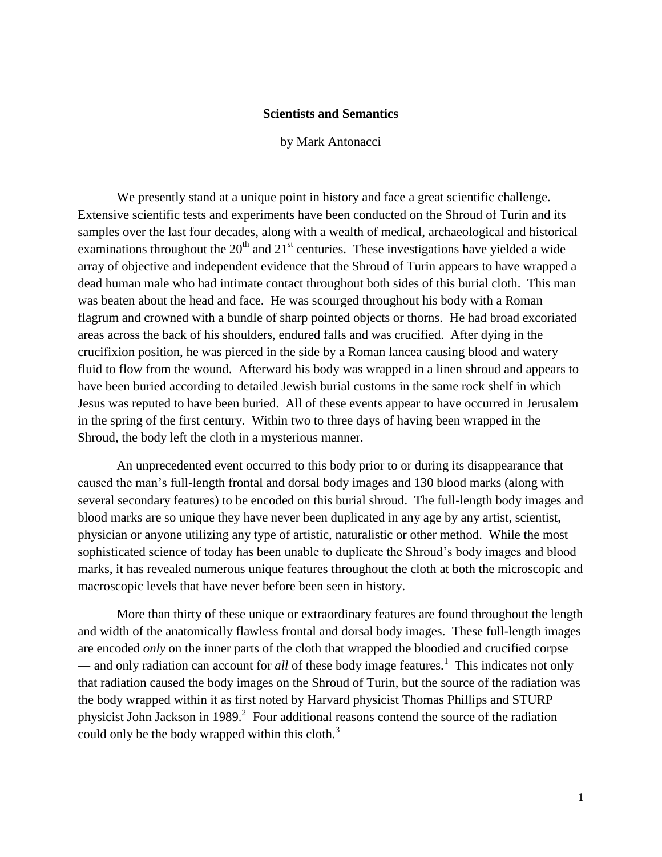## **Scientists and Semantics**

by Mark Antonacci

We presently stand at a unique point in history and face a great scientific challenge. Extensive scientific tests and experiments have been conducted on the Shroud of Turin and its samples over the last four decades, along with a wealth of medical, archaeological and historical examinations throughout the  $20<sup>th</sup>$  and  $21<sup>st</sup>$  centuries. These investigations have yielded a wide array of objective and independent evidence that the Shroud of Turin appears to have wrapped a dead human male who had intimate contact throughout both sides of this burial cloth. This man was beaten about the head and face. He was scourged throughout his body with a Roman flagrum and crowned with a bundle of sharp pointed objects or thorns. He had broad excoriated areas across the back of his shoulders, endured falls and was crucified. After dying in the crucifixion position, he was pierced in the side by a Roman lancea causing blood and watery fluid to flow from the wound. Afterward his body was wrapped in a linen shroud and appears to have been buried according to detailed Jewish burial customs in the same rock shelf in which Jesus was reputed to have been buried. All of these events appear to have occurred in Jerusalem in the spring of the first century. Within two to three days of having been wrapped in the Shroud, the body left the cloth in a mysterious manner.

An unprecedented event occurred to this body prior to or during its disappearance that caused the man's full-length frontal and dorsal body images and 130 blood marks (along with several secondary features) to be encoded on this burial shroud. The full-length body images and blood marks are so unique they have never been duplicated in any age by any artist, scientist, physician or anyone utilizing any type of artistic, naturalistic or other method. While the most sophisticated science of today has been unable to duplicate the Shroud's body images and blood marks, it has revealed numerous unique features throughout the cloth at both the microscopic and macroscopic levels that have never before been seen in history.

More than thirty of these unique or extraordinary features are found throughout the length and width of the anatomically flawless frontal and dorsal body images. These full-length images are encoded *only* on the inner parts of the cloth that wrapped the bloodied and crucified corpse — and only radiation can account for *all* of these body image features.<sup>1</sup> This indicates not only that radiation caused the body images on the Shroud of Turin, but the source of the radiation was the body wrapped within it as first noted by Harvard physicist Thomas Phillips and STURP physicist John Jackson in 1989. $^2$  Four additional reasons contend the source of the radiation could only be the body wrapped within this cloth. $3$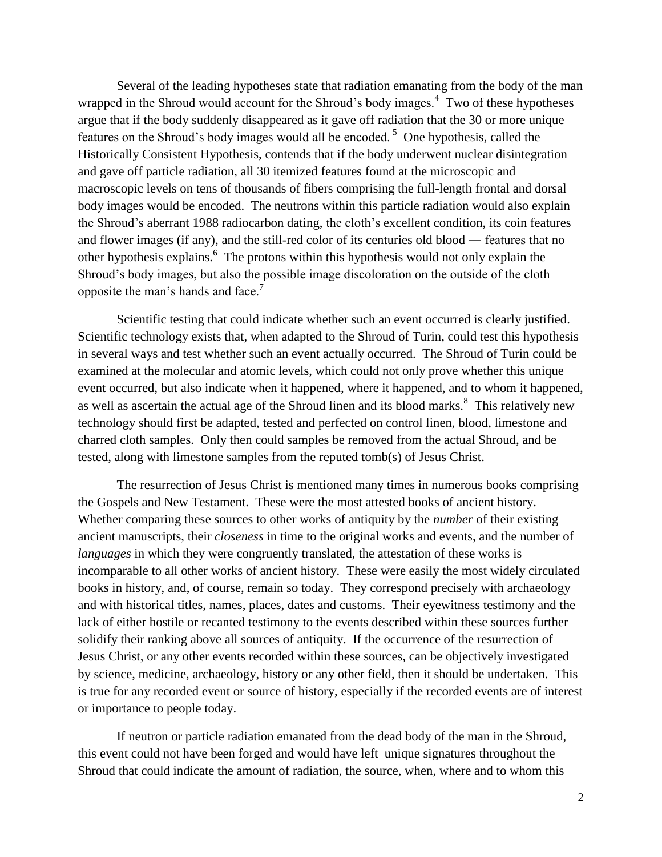Several of the leading hypotheses state that radiation emanating from the body of the man wrapped in the Shroud would account for the Shroud's body images.<sup>4</sup> Two of these hypotheses argue that if the body suddenly disappeared as it gave off radiation that the 30 or more unique features on the Shroud's body images would all be encoded.<sup>5</sup> One hypothesis, called the Historically Consistent Hypothesis, contends that if the body underwent nuclear disintegration and gave off particle radiation, all 30 itemized features found at the microscopic and macroscopic levels on tens of thousands of fibers comprising the full-length frontal and dorsal body images would be encoded. The neutrons within this particle radiation would also explain the Shroud's aberrant 1988 radiocarbon dating, the cloth's excellent condition, its coin features and flower images (if any), and the still-red color of its centuries old blood ― features that no other hypothesis explains.<sup>6</sup> The protons within this hypothesis would not only explain the Shroud's body images, but also the possible image discoloration on the outside of the cloth opposite the man's hands and face.<sup>7</sup>

Scientific testing that could indicate whether such an event occurred is clearly justified. Scientific technology exists that, when adapted to the Shroud of Turin, could test this hypothesis in several ways and test whether such an event actually occurred. The Shroud of Turin could be examined at the molecular and atomic levels, which could not only prove whether this unique event occurred, but also indicate when it happened, where it happened, and to whom it happened, as well as ascertain the actual age of the Shroud linen and its blood marks.<sup>8</sup> This relatively new technology should first be adapted, tested and perfected on control linen, blood, limestone and charred cloth samples. Only then could samples be removed from the actual Shroud, and be tested, along with limestone samples from the reputed tomb(s) of Jesus Christ.

The resurrection of Jesus Christ is mentioned many times in numerous books comprising the Gospels and New Testament. These were the most attested books of ancient history. Whether comparing these sources to other works of antiquity by the *number* of their existing ancient manuscripts, their *closeness* in time to the original works and events, and the number of *languages* in which they were congruently translated, the attestation of these works is incomparable to all other works of ancient history. These were easily the most widely circulated books in history, and, of course, remain so today. They correspond precisely with archaeology and with historical titles, names, places, dates and customs. Their eyewitness testimony and the lack of either hostile or recanted testimony to the events described within these sources further solidify their ranking above all sources of antiquity. If the occurrence of the resurrection of Jesus Christ, or any other events recorded within these sources, can be objectively investigated by science, medicine, archaeology, history or any other field, then it should be undertaken. This is true for any recorded event or source of history, especially if the recorded events are of interest or importance to people today.

If neutron or particle radiation emanated from the dead body of the man in the Shroud, this event could not have been forged and would have left unique signatures throughout the Shroud that could indicate the amount of radiation, the source, when, where and to whom this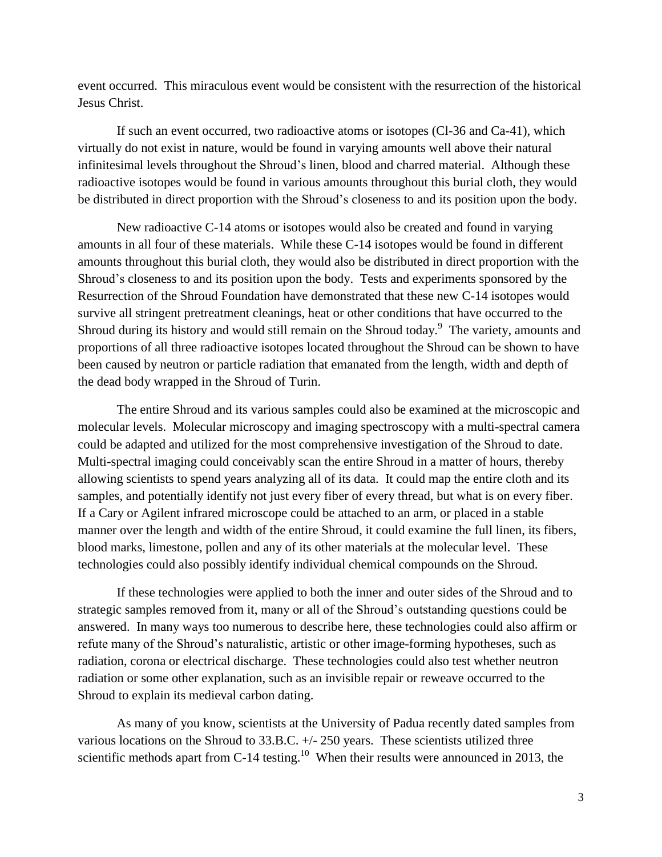event occurred. This miraculous event would be consistent with the resurrection of the historical Jesus Christ.

If such an event occurred, two radioactive atoms or isotopes (Cl-36 and Ca-41), which virtually do not exist in nature, would be found in varying amounts well above their natural infinitesimal levels throughout the Shroud's linen, blood and charred material. Although these radioactive isotopes would be found in various amounts throughout this burial cloth, they would be distributed in direct proportion with the Shroud's closeness to and its position upon the body.

New radioactive C-14 atoms or isotopes would also be created and found in varying amounts in all four of these materials. While these C-14 isotopes would be found in different amounts throughout this burial cloth, they would also be distributed in direct proportion with the Shroud's closeness to and its position upon the body. Tests and experiments sponsored by the Resurrection of the Shroud Foundation have demonstrated that these new C-14 isotopes would survive all stringent pretreatment cleanings, heat or other conditions that have occurred to the Shroud during its history and would still remain on the Shroud today.<sup>9</sup> The variety, amounts and proportions of all three radioactive isotopes located throughout the Shroud can be shown to have been caused by neutron or particle radiation that emanated from the length, width and depth of the dead body wrapped in the Shroud of Turin.

The entire Shroud and its various samples could also be examined at the microscopic and molecular levels. Molecular microscopy and imaging spectroscopy with a multi-spectral camera could be adapted and utilized for the most comprehensive investigation of the Shroud to date. Multi-spectral imaging could conceivably scan the entire Shroud in a matter of hours, thereby allowing scientists to spend years analyzing all of its data. It could map the entire cloth and its samples, and potentially identify not just every fiber of every thread, but what is on every fiber. If a Cary or Agilent infrared microscope could be attached to an arm, or placed in a stable manner over the length and width of the entire Shroud, it could examine the full linen, its fibers, blood marks, limestone, pollen and any of its other materials at the molecular level. These technologies could also possibly identify individual chemical compounds on the Shroud.

If these technologies were applied to both the inner and outer sides of the Shroud and to strategic samples removed from it, many or all of the Shroud's outstanding questions could be answered. In many ways too numerous to describe here, these technologies could also affirm or refute many of the Shroud's naturalistic, artistic or other image-forming hypotheses, such as radiation, corona or electrical discharge. These technologies could also test whether neutron radiation or some other explanation, such as an invisible repair or reweave occurred to the Shroud to explain its medieval carbon dating.

As many of you know, scientists at the University of Padua recently dated samples from various locations on the Shroud to 33.B.C. +/- 250 years. These scientists utilized three scientific methods apart from C-14 testing.<sup>10</sup> When their results were announced in 2013, the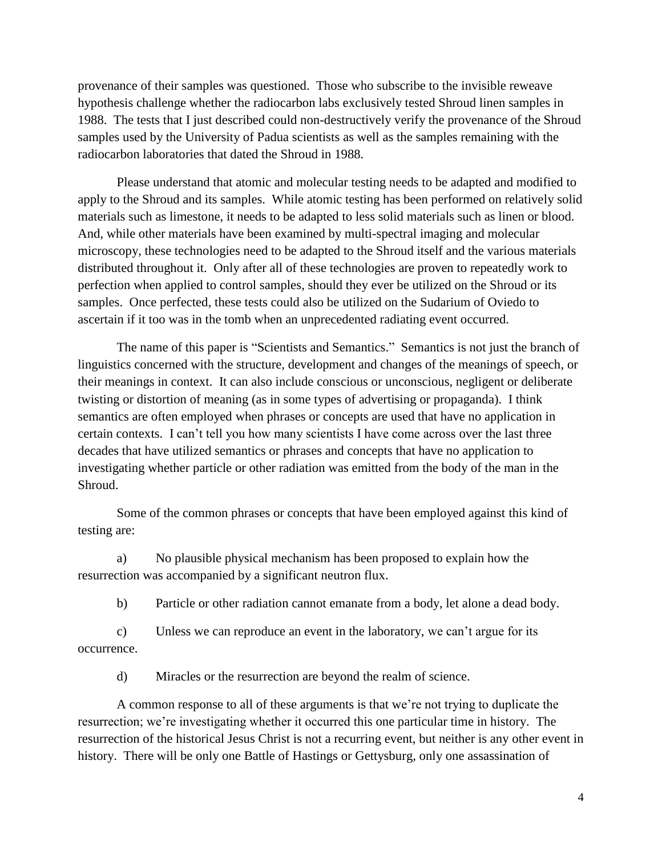provenance of their samples was questioned. Those who subscribe to the invisible reweave hypothesis challenge whether the radiocarbon labs exclusively tested Shroud linen samples in 1988. The tests that I just described could non-destructively verify the provenance of the Shroud samples used by the University of Padua scientists as well as the samples remaining with the radiocarbon laboratories that dated the Shroud in 1988.

Please understand that atomic and molecular testing needs to be adapted and modified to apply to the Shroud and its samples. While atomic testing has been performed on relatively solid materials such as limestone, it needs to be adapted to less solid materials such as linen or blood. And, while other materials have been examined by multi-spectral imaging and molecular microscopy, these technologies need to be adapted to the Shroud itself and the various materials distributed throughout it. Only after all of these technologies are proven to repeatedly work to perfection when applied to control samples, should they ever be utilized on the Shroud or its samples. Once perfected, these tests could also be utilized on the Sudarium of Oviedo to ascertain if it too was in the tomb when an unprecedented radiating event occurred.

The name of this paper is "Scientists and Semantics." Semantics is not just the branch of linguistics concerned with the structure, development and changes of the meanings of speech, or their meanings in context. It can also include conscious or unconscious, negligent or deliberate twisting or distortion of meaning (as in some types of advertising or propaganda). I think semantics are often employed when phrases or concepts are used that have no application in certain contexts. I can't tell you how many scientists I have come across over the last three decades that have utilized semantics or phrases and concepts that have no application to investigating whether particle or other radiation was emitted from the body of the man in the Shroud.

Some of the common phrases or concepts that have been employed against this kind of testing are:

a) No plausible physical mechanism has been proposed to explain how the resurrection was accompanied by a significant neutron flux.

b) Particle or other radiation cannot emanate from a body, let alone a dead body.

c) Unless we can reproduce an event in the laboratory, we can't argue for its occurrence.

d) Miracles or the resurrection are beyond the realm of science.

A common response to all of these arguments is that we're not trying to duplicate the resurrection; we're investigating whether it occurred this one particular time in history. The resurrection of the historical Jesus Christ is not a recurring event, but neither is any other event in history. There will be only one Battle of Hastings or Gettysburg, only one assassination of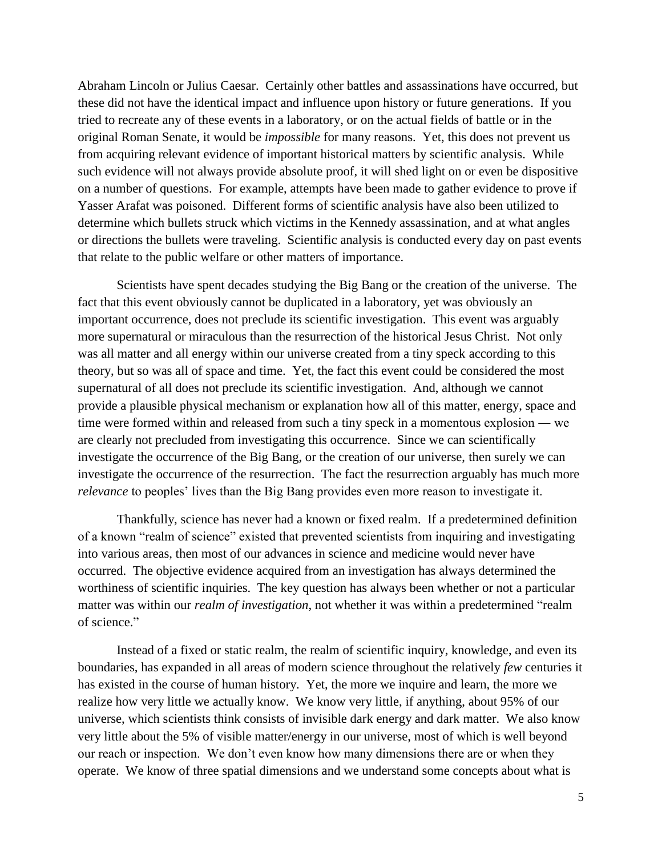Abraham Lincoln or Julius Caesar. Certainly other battles and assassinations have occurred, but these did not have the identical impact and influence upon history or future generations. If you tried to recreate any of these events in a laboratory, or on the actual fields of battle or in the original Roman Senate, it would be *impossible* for many reasons. Yet, this does not prevent us from acquiring relevant evidence of important historical matters by scientific analysis. While such evidence will not always provide absolute proof, it will shed light on or even be dispositive on a number of questions. For example, attempts have been made to gather evidence to prove if Yasser Arafat was poisoned. Different forms of scientific analysis have also been utilized to determine which bullets struck which victims in the Kennedy assassination, and at what angles or directions the bullets were traveling. Scientific analysis is conducted every day on past events that relate to the public welfare or other matters of importance.

Scientists have spent decades studying the Big Bang or the creation of the universe. The fact that this event obviously cannot be duplicated in a laboratory, yet was obviously an important occurrence, does not preclude its scientific investigation. This event was arguably more supernatural or miraculous than the resurrection of the historical Jesus Christ. Not only was all matter and all energy within our universe created from a tiny speck according to this theory, but so was all of space and time. Yet, the fact this event could be considered the most supernatural of all does not preclude its scientific investigation. And, although we cannot provide a plausible physical mechanism or explanation how all of this matter, energy, space and time were formed within and released from such a tiny speck in a momentous explosion ― we are clearly not precluded from investigating this occurrence. Since we can scientifically investigate the occurrence of the Big Bang, or the creation of our universe, then surely we can investigate the occurrence of the resurrection. The fact the resurrection arguably has much more *relevance* to peoples' lives than the Big Bang provides even more reason to investigate it.

Thankfully, science has never had a known or fixed realm. If a predetermined definition of a known "realm of science" existed that prevented scientists from inquiring and investigating into various areas, then most of our advances in science and medicine would never have occurred. The objective evidence acquired from an investigation has always determined the worthiness of scientific inquiries. The key question has always been whether or not a particular matter was within our *realm of investigation*, not whether it was within a predetermined "realm" of science."

Instead of a fixed or static realm, the realm of scientific inquiry, knowledge, and even its boundaries, has expanded in all areas of modern science throughout the relatively *few* centuries it has existed in the course of human history. Yet, the more we inquire and learn, the more we realize how very little we actually know. We know very little, if anything, about 95% of our universe, which scientists think consists of invisible dark energy and dark matter. We also know very little about the 5% of visible matter/energy in our universe, most of which is well beyond our reach or inspection. We don't even know how many dimensions there are or when they operate. We know of three spatial dimensions and we understand some concepts about what is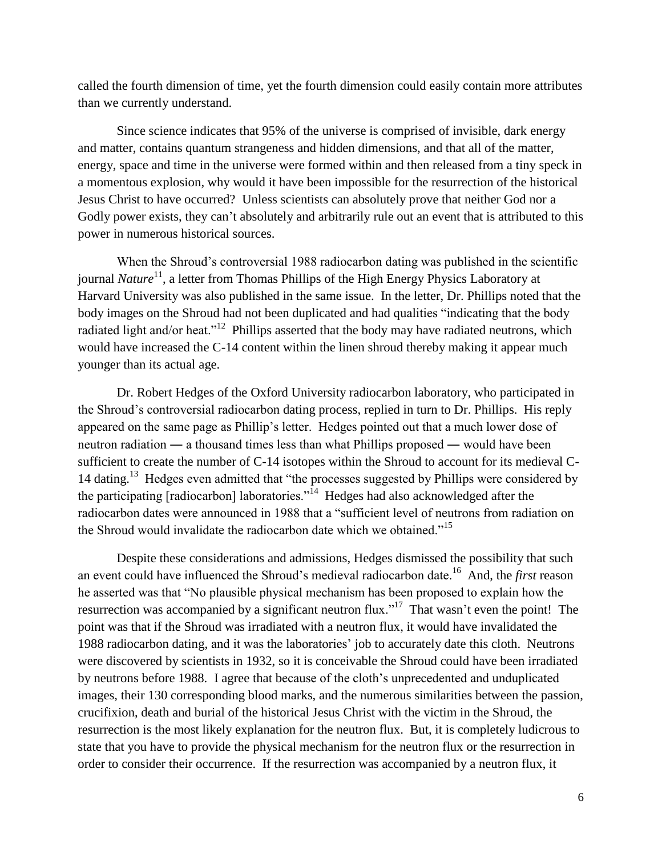called the fourth dimension of time, yet the fourth dimension could easily contain more attributes than we currently understand.

Since science indicates that 95% of the universe is comprised of invisible, dark energy and matter, contains quantum strangeness and hidden dimensions, and that all of the matter, energy, space and time in the universe were formed within and then released from a tiny speck in a momentous explosion, why would it have been impossible for the resurrection of the historical Jesus Christ to have occurred? Unless scientists can absolutely prove that neither God nor a Godly power exists, they can't absolutely and arbitrarily rule out an event that is attributed to this power in numerous historical sources.

When the Shroud's controversial 1988 radiocarbon dating was published in the scientific journal *Nature*<sup>11</sup>, a letter from Thomas Phillips of the High Energy Physics Laboratory at Harvard University was also published in the same issue. In the letter, Dr. Phillips noted that the body images on the Shroud had not been duplicated and had qualities "indicating that the body radiated light and/or heat."<sup>12</sup> Phillips asserted that the body may have radiated neutrons, which would have increased the C-14 content within the linen shroud thereby making it appear much younger than its actual age.

Dr. Robert Hedges of the Oxford University radiocarbon laboratory, who participated in the Shroud's controversial radiocarbon dating process, replied in turn to Dr. Phillips. His reply appeared on the same page as Phillip's letter. Hedges pointed out that a much lower dose of neutron radiation ― a thousand times less than what Phillips proposed ― would have been sufficient to create the number of C-14 isotopes within the Shroud to account for its medieval C-14 dating.<sup>13</sup> Hedges even admitted that "the processes suggested by Phillips were considered by the participating [radiocarbon] laboratories."<sup>14</sup> Hedges had also acknowledged after the radiocarbon dates were announced in 1988 that a "sufficient level of neutrons from radiation on the Shroud would invalidate the radiocarbon date which we obtained."<sup>15</sup>

Despite these considerations and admissions, Hedges dismissed the possibility that such an event could have influenced the Shroud's medieval radiocarbon date.<sup>16</sup> And, the *first* reason he asserted was that "No plausible physical mechanism has been proposed to explain how the resurrection was accompanied by a significant neutron flux."<sup>17</sup> That wasn't even the point! The point was that if the Shroud was irradiated with a neutron flux, it would have invalidated the 1988 radiocarbon dating, and it was the laboratories' job to accurately date this cloth. Neutrons were discovered by scientists in 1932, so it is conceivable the Shroud could have been irradiated by neutrons before 1988. I agree that because of the cloth's unprecedented and unduplicated images, their 130 corresponding blood marks, and the numerous similarities between the passion, crucifixion, death and burial of the historical Jesus Christ with the victim in the Shroud, the resurrection is the most likely explanation for the neutron flux. But, it is completely ludicrous to state that you have to provide the physical mechanism for the neutron flux or the resurrection in order to consider their occurrence. If the resurrection was accompanied by a neutron flux, it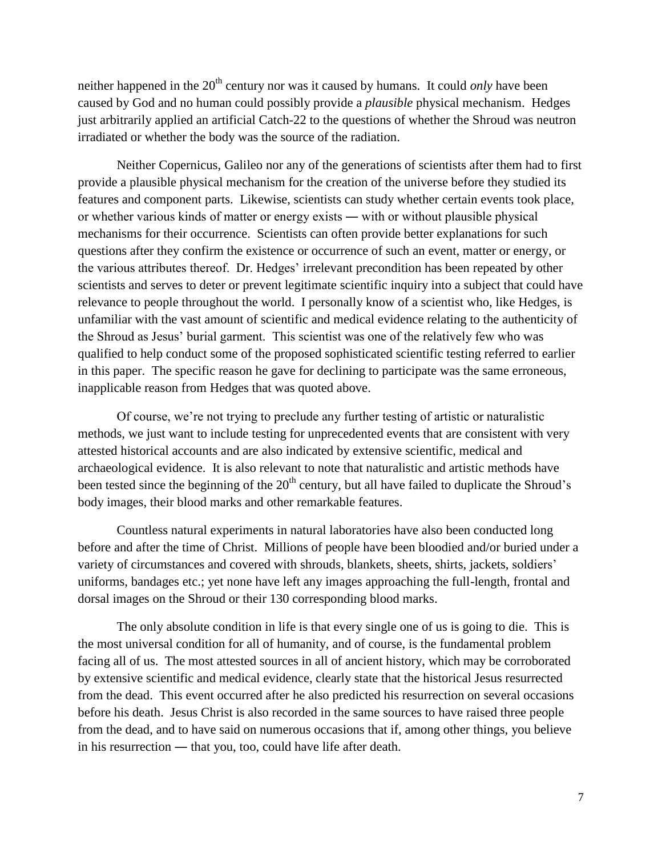neither happened in the 20<sup>th</sup> century nor was it caused by humans. It could *only* have been caused by God and no human could possibly provide a *plausible* physical mechanism. Hedges just arbitrarily applied an artificial Catch-22 to the questions of whether the Shroud was neutron irradiated or whether the body was the source of the radiation.

Neither Copernicus, Galileo nor any of the generations of scientists after them had to first provide a plausible physical mechanism for the creation of the universe before they studied its features and component parts. Likewise, scientists can study whether certain events took place, or whether various kinds of matter or energy exists ― with or without plausible physical mechanisms for their occurrence. Scientists can often provide better explanations for such questions after they confirm the existence or occurrence of such an event, matter or energy, or the various attributes thereof. Dr. Hedges' irrelevant precondition has been repeated by other scientists and serves to deter or prevent legitimate scientific inquiry into a subject that could have relevance to people throughout the world. I personally know of a scientist who, like Hedges, is unfamiliar with the vast amount of scientific and medical evidence relating to the authenticity of the Shroud as Jesus' burial garment. This scientist was one of the relatively few who was qualified to help conduct some of the proposed sophisticated scientific testing referred to earlier in this paper. The specific reason he gave for declining to participate was the same erroneous, inapplicable reason from Hedges that was quoted above.

Of course, we're not trying to preclude any further testing of artistic or naturalistic methods, we just want to include testing for unprecedented events that are consistent with very attested historical accounts and are also indicated by extensive scientific, medical and archaeological evidence. It is also relevant to note that naturalistic and artistic methods have been tested since the beginning of the  $20<sup>th</sup>$  century, but all have failed to duplicate the Shroud's body images, their blood marks and other remarkable features.

Countless natural experiments in natural laboratories have also been conducted long before and after the time of Christ. Millions of people have been bloodied and/or buried under a variety of circumstances and covered with shrouds, blankets, sheets, shirts, jackets, soldiers' uniforms, bandages etc.; yet none have left any images approaching the full-length, frontal and dorsal images on the Shroud or their 130 corresponding blood marks.

The only absolute condition in life is that every single one of us is going to die. This is the most universal condition for all of humanity, and of course, is the fundamental problem facing all of us. The most attested sources in all of ancient history, which may be corroborated by extensive scientific and medical evidence, clearly state that the historical Jesus resurrected from the dead. This event occurred after he also predicted his resurrection on several occasions before his death. Jesus Christ is also recorded in the same sources to have raised three people from the dead, and to have said on numerous occasions that if, among other things, you believe in his resurrection ― that you, too, could have life after death.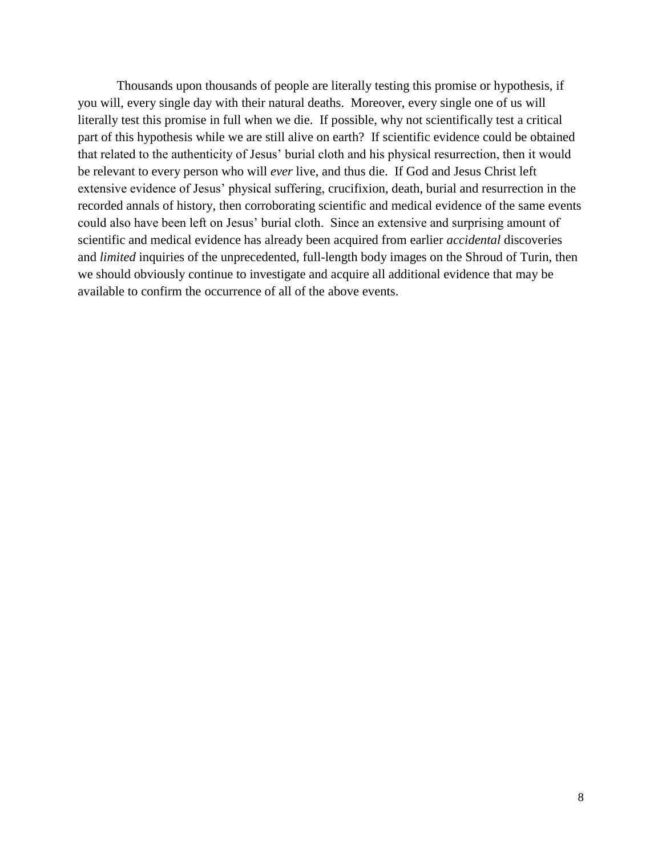Thousands upon thousands of people are literally testing this promise or hypothesis, if you will, every single day with their natural deaths. Moreover, every single one of us will literally test this promise in full when we die. If possible, why not scientifically test a critical part of this hypothesis while we are still alive on earth? If scientific evidence could be obtained that related to the authenticity of Jesus' burial cloth and his physical resurrection, then it would be relevant to every person who will *ever* live, and thus die. If God and Jesus Christ left extensive evidence of Jesus' physical suffering, crucifixion, death, burial and resurrection in the recorded annals of history, then corroborating scientific and medical evidence of the same events could also have been left on Jesus' burial cloth. Since an extensive and surprising amount of scientific and medical evidence has already been acquired from earlier *accidental* discoveries and *limited* inquiries of the unprecedented, full-length body images on the Shroud of Turin, then we should obviously continue to investigate and acquire all additional evidence that may be available to confirm the occurrence of all of the above events.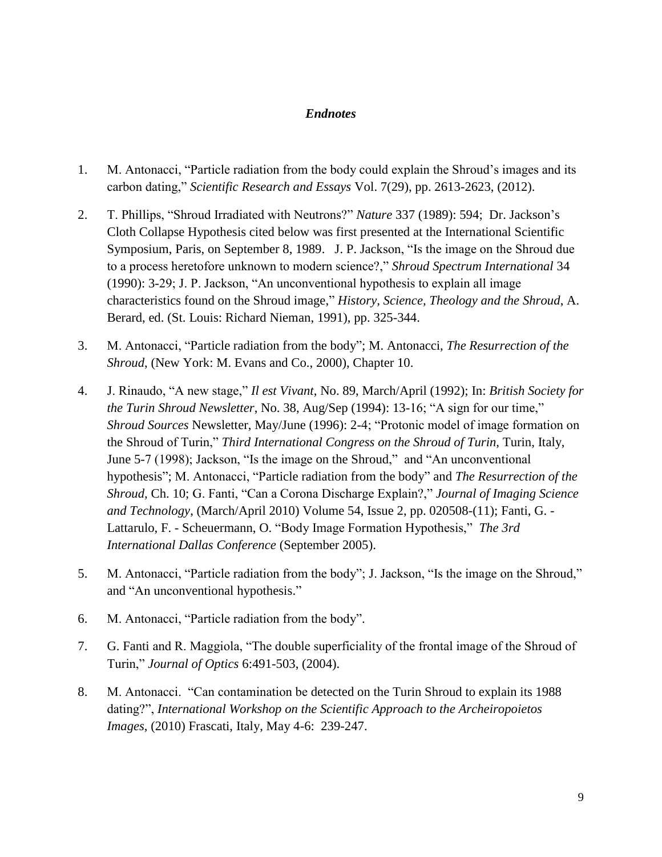## *Endnotes*

- 1. M. Antonacci, "Particle radiation from the body could explain the Shroud's images and its carbon dating," *Scientific Research and Essays* Vol. 7(29), pp. 2613-2623, (2012).
- 2. T. Phillips, "Shroud Irradiated with Neutrons?" *Nature* 337 (1989): 594; Dr. Jackson's Cloth Collapse Hypothesis cited below was first presented at the International Scientific Symposium, Paris, on September 8, 1989. J. P. Jackson, "Is the image on the Shroud due to a process heretofore unknown to modern science?," *Shroud Spectrum International* 34 (1990): 3-29; J. P. Jackson, "An unconventional hypothesis to explain all image characteristics found on the Shroud image," *History, Science, Theology and the Shroud*, A. Berard, ed. (St. Louis: Richard Nieman, 1991), pp. 325-344.
- 3. M. Antonacci, "Particle radiation from the body"; M. Antonacci, *The Resurrection of the Shroud*, (New York: M. Evans and Co., 2000), Chapter 10.
- 4. J. Rinaudo, "A new stage," *Il est Vivant*, No. 89, March/April (1992); In: *British Society for the Turin Shroud Newsletter*, No. 38, Aug/Sep (1994): 13-16; "A sign for our time," *Shroud Sources* Newsletter, May/June (1996): 2-4; "Protonic model of image formation on the Shroud of Turin," *Third International Congress on the Shroud of Turin,* Turin, Italy, June 5-7 (1998); Jackson, "Is the image on the Shroud," and "An unconventional hypothesis"; M. Antonacci, "Particle radiation from the body" and *The Resurrection of the Shroud,* Ch. 10; G. Fanti, "Can a Corona Discharge Explain?," *Journal of Imaging Science and Technology*, (March/April 2010) Volume 54, Issue 2, pp. 020508-(11); Fanti, G. - Lattarulo, F. - Scheuermann, O. ["Body Image Formation Hypothesis,"](http://www.dim.unipd.it/fanti/corona.pdf) *The 3rd International Dallas Conference* (September 2005).
- 5. M. Antonacci, "Particle radiation from the body"; J. Jackson, "Is the image on the Shroud," and "An unconventional hypothesis."
- 6. M. Antonacci, "Particle radiation from the body".
- 7. G. Fanti and R. Maggiola, "The double superficiality of the frontal image of the Shroud of Turin," *Journal of Optics* 6:491-503, (2004).
- 8. M. Antonacci. "Can contamination be detected on the Turin Shroud to explain its 1988 dating?", *International Workshop on the Scientific Approach to the Archeiropoietos Images*, (2010) Frascati, Italy, May 4-6: 239-247.